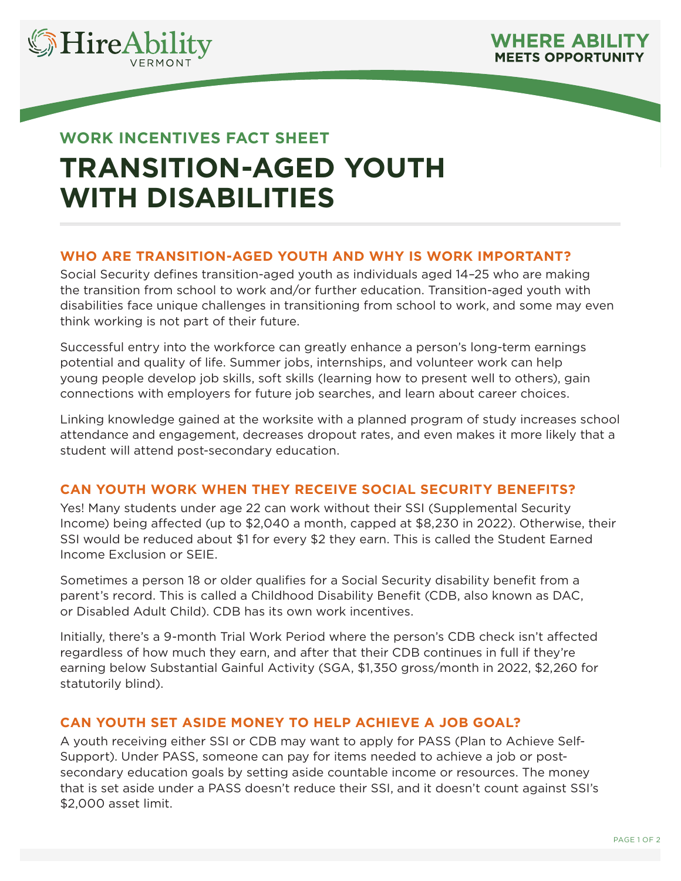

# **WORK INCENTIVES FACT SHEET TRANSITION-AGED YOUTH WITH DISABILITIES**

## **WHO ARE TRANSITION-AGED YOUTH AND WHY IS WORK IMPORTANT?**

Social Security defines transition-aged youth as individuals aged 14–25 who are making the transition from school to work and/or further education. Transition-aged youth with disabilities face unique challenges in transitioning from school to work, and some may even think working is not part of their future.

Successful entry into the workforce can greatly enhance a person's long-term earnings potential and quality of life. Summer jobs, internships, and volunteer work can help young people develop job skills, soft skills (learning how to present well to others), gain connections with employers for future job searches, and learn about career choices.

Linking knowledge gained at the worksite with a planned program of study increases school attendance and engagement, decreases dropout rates, and even makes it more likely that a student will attend post-secondary education.

## **CAN YOUTH WORK WHEN THEY RECEIVE SOCIAL SECURITY BENEFITS?**

Yes! Many students under age 22 can work without their SSI (Supplemental Security Income) being affected (up to \$2,040 a month, capped at \$8,230 in 2022). Otherwise, their SSI would be reduced about \$1 for every \$2 they earn. This is called the Student Earned Income Exclusion or SEIE.

Sometimes a person 18 or older qualifies for a Social Security disability benefit from a parent's record. This is called a Childhood Disability Benefit (CDB, also known as DAC, or Disabled Adult Child). CDB has its own work incentives.

Initially, there's a 9-month Trial Work Period where the person's CDB check isn't affected regardless of how much they earn, and after that their CDB continues in full if they're earning below Substantial Gainful Activity (SGA, \$1,350 gross/month in 2022, \$2,260 for statutorily blind).

## **CAN YOUTH SET ASIDE MONEY TO HELP ACHIEVE A JOB GOAL?**

A youth receiving either SSI or CDB may want to apply for PASS (Plan to Achieve Self-Support). Under PASS, someone can pay for items needed to achieve a job or postsecondary education goals by setting aside countable income or resources. The money that is set aside under a PASS doesn't reduce their SSI, and it doesn't count against SSI's \$2,000 asset limit.